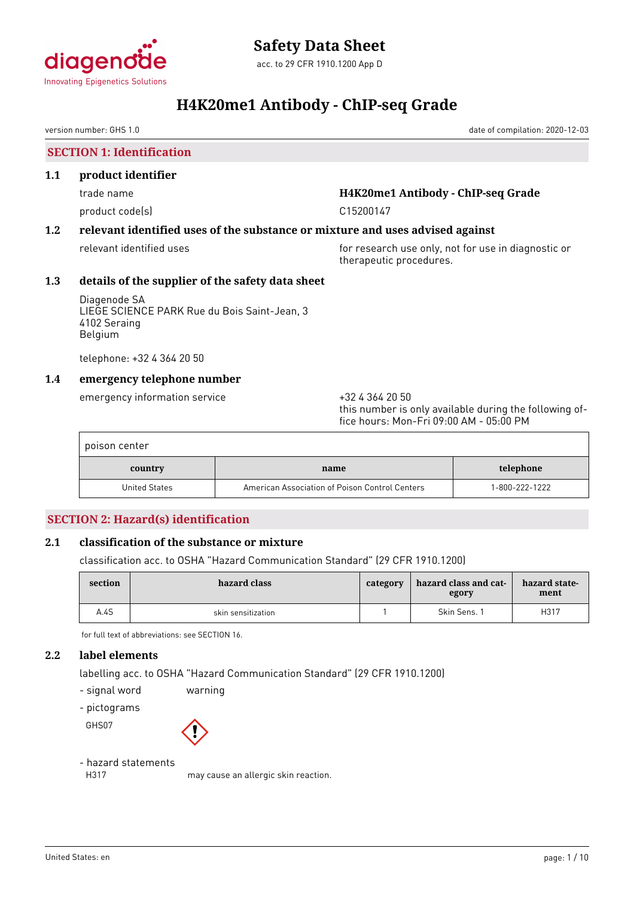

version number: GHS 1.0 date of compilation: 2020-12-03

**SECTION 1: Identification**

#### **1.1 product identifier**

product code(s) example 200147

# trade name **H4K20me1 Antibody - ChIP-seq Grade**

# **1.2 relevant identified uses of the substance or mixture and uses advised against**

relevant identified uses **for research use only, not for use in diagnostic or** therapeutic procedures.

# **1.3 details of the supplier of the safety data sheet**

Diagenode SA LIEGE SCIENCE PARK Rue du Bois Saint-Jean, 3 4102 Seraing Belgium

telephone: +32 4 364 20 50

# **1.4 emergency telephone number**

emergency information service  $+3243642050$ 

this number is only available during the following office hours: Mon-Fri 09:00 AM - 05:00 PM

| poison center        |                                                |                |
|----------------------|------------------------------------------------|----------------|
| country              | name                                           | telephone      |
| <b>United States</b> | American Association of Poison Control Centers | 1-800-222-1222 |

# **SECTION 2: Hazard(s) identification**

# **2.1 classification of the substance or mixture**

classification acc. to OSHA "Hazard Communication Standard" (29 CFR 1910.1200)

| section | hazard class       | category | hazard class and cat-<br>egory | hazard state-<br>ment |
|---------|--------------------|----------|--------------------------------|-----------------------|
| A.4S    | skin sensitization |          | Skin Sens. 1                   | H317                  |

for full text of abbreviations: see SECTION 16.

# **2.2 label elements**

labelling acc. to OSHA "Hazard Communication Standard" (29 CFR 1910.1200)

- signal word warning

- pictograms

GHS07

# - hazard statements

H317 may cause an allergic skin reaction.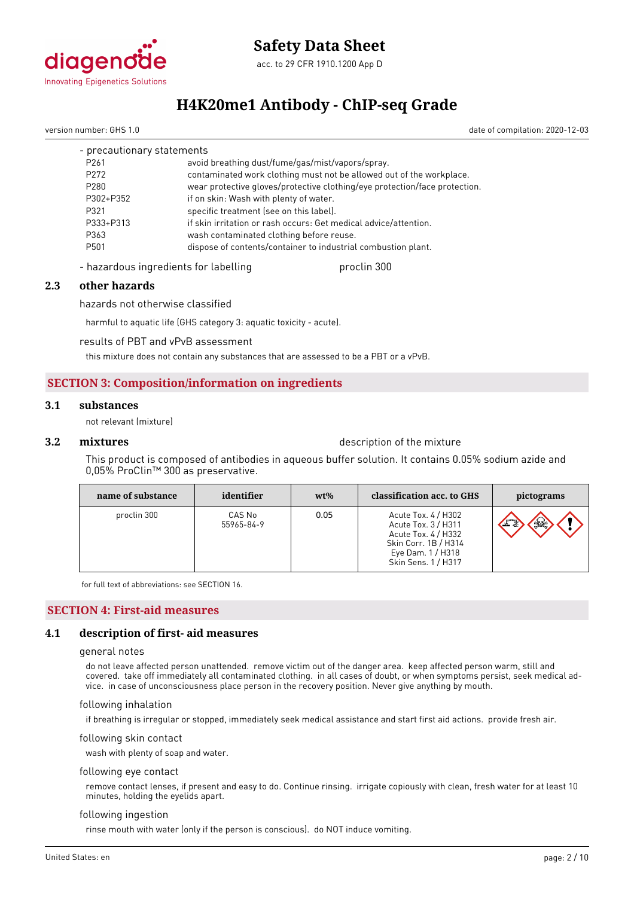

version number: GHS 1.0 date of compilation: 2020-12-03

| - precautionary statements |                                                                            |
|----------------------------|----------------------------------------------------------------------------|
| P <sub>261</sub>           | avoid breathing dust/fume/gas/mist/vapors/spray.                           |
| P <sub>272</sub>           | contaminated work clothing must not be allowed out of the workplace.       |
| P280                       | wear protective gloves/protective clothing/eye protection/face protection. |
| P302+P352                  | if on skin: Wash with plenty of water.                                     |
| P321                       | specific treatment (see on this label).                                    |
| P333+P313                  | if skin irritation or rash occurs: Get medical advice/attention.           |
| P363                       | wash contaminated clothing before reuse.                                   |
| P501                       | dispose of contents/container to industrial combustion plant.              |
|                            |                                                                            |

- hazardous ingredients for labelling proclin 300

#### **2.3 other hazards**

hazards not otherwise classified

harmful to aquatic life (GHS category 3: aquatic toxicity - acute).

results of PBT and vPvB assessment

this mixture does not contain any substances that are assessed to be a PBT or a vPvB.

# **SECTION 3: Composition/information on ingredients**

#### **3.1 substances**

not relevant (mixture)

### **3.2 <b>mixtures** description of the mixture

This product is composed of antibodies in aqueous buffer solution. It contains 0.05% sodium azide and 0,05% ProClin™ 300 as preservative.

| name of substance | identifier           | $wt\%$ | classification acc. to GHS                                                                                                            | pictograms |
|-------------------|----------------------|--------|---------------------------------------------------------------------------------------------------------------------------------------|------------|
| proclin 300       | CAS No<br>55965-84-9 | 0.05   | Acute Tox. 4 / H302<br>Acute Tox. 3 / H311<br>Acute Tox. 4 / H332<br>Skin Corr. 1B / H314<br>Eye Dam. 1 / H318<br>Skin Sens. 1 / H317 | ₩<br>$-26$ |

for full text of abbreviations: see SECTION 16.

#### **SECTION 4: First-aid measures**

#### **4.1 description of first- aid measures**

#### general notes

do not leave affected person unattended. remove victim out of the danger area. keep affected person warm, still and covered. take off immediately all contaminated clothing. in all cases of doubt, or when symptoms persist, seek medical advice. in case of unconsciousness place person in the recovery position. Never give anything by mouth.

#### following inhalation

if breathing is irregular or stopped, immediately seek medical assistance and start first aid actions. provide fresh air.

following skin contact

wash with plenty of soap and water.

#### following eye contact

remove contact lenses, if present and easy to do. Continue rinsing. irrigate copiously with clean, fresh water for at least 10 minutes, holding the eyelids apart.

#### following ingestion

rinse mouth with water (only if the person is conscious). do NOT induce vomiting.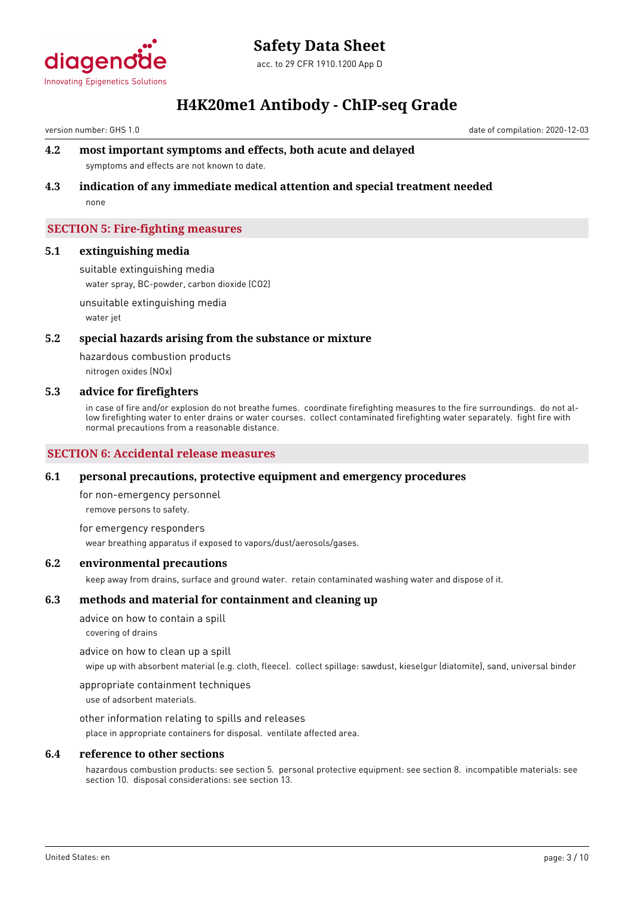

version number: GHS 1.0 date of compilation: 2020-12-03

# **4.2 most important symptoms and effects, both acute and delayed**

symptoms and effects are not known to date.

# **4.3 indication of any immediate medical attention and special treatment needed**

none

# **SECTION 5: Fire-fighting measures**

### **5.1 extinguishing media**

suitable extinguishing media water spray, BC-powder, carbon dioxide (CO2)

unsuitable extinguishing media water jet

### **5.2 special hazards arising from the substance or mixture**

hazardous combustion products nitrogen oxides (NOx)

### **5.3 advice for firefighters**

in case of fire and/or explosion do not breathe fumes. coordinate firefighting measures to the fire surroundings. do not allow firefighting water to enter drains or water courses. collect contaminated firefighting water separately. fight fire with normal precautions from a reasonable distance.

# **SECTION 6: Accidental release measures**

# **6.1 personal precautions, protective equipment and emergency procedures**

for non-emergency personnel

remove persons to safety.

for emergency responders wear breathing apparatus if exposed to vapors/dust/aerosols/gases.

#### **6.2 environmental precautions**

keep away from drains, surface and ground water. retain contaminated washing water and dispose of it.

# **6.3 methods and material for containment and cleaning up**

advice on how to contain a spill

covering of drains

advice on how to clean up a spill

wipe up with absorbent material (e.g. cloth, fleece). collect spillage: sawdust, kieselgur (diatomite), sand, universal binder

appropriate containment techniques

use of adsorbent materials.

other information relating to spills and releases

place in appropriate containers for disposal. ventilate affected area.

#### **6.4 reference to other sections**

hazardous combustion products: see section 5. personal protective equipment: see section 8. incompatible materials: see section 10. disposal considerations: see section 13.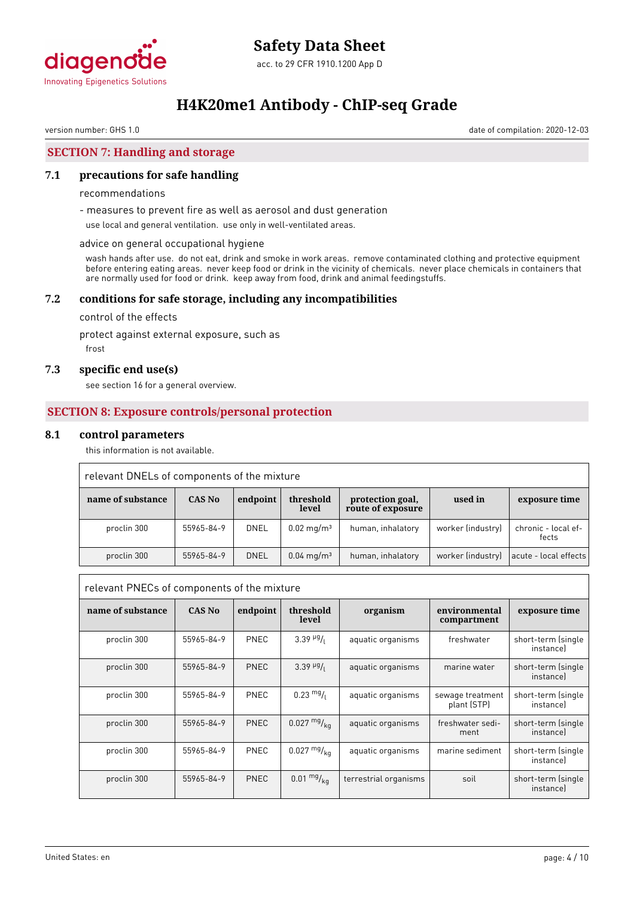

version number: GHS 1.0 date of compilation: 2020-12-03

# **SECTION 7: Handling and storage**

# **7.1 precautions for safe handling**

#### recommendations

- measures to prevent fire as well as aerosol and dust generation

use local and general ventilation. use only in well-ventilated areas.

#### advice on general occupational hygiene

wash hands after use. do not eat, drink and smoke in work areas. remove contaminated clothing and protective equipment before entering eating areas. never keep food or drink in the vicinity of chemicals. never place chemicals in containers that are normally used for food or drink. keep away from food, drink and animal feedingstuffs.

### **7.2 conditions for safe storage, including any incompatibilities**

control of the effects

protect against external exposure, such as

frost

#### **7.3 specific end use(s)**

see section 16 for a general overview.

### **SECTION 8: Exposure controls/personal protection**

#### **8.1 control parameters**

this information is not available.

| relevant DNELs of components of the mixture |            |          |                          |                                       |                   |                              |
|---------------------------------------------|------------|----------|--------------------------|---------------------------------------|-------------------|------------------------------|
| name of substance                           | CAS No     | endpoint | threshold<br>level       | protection goal,<br>route of exposure | used in           | exposure time                |
| proclin 300                                 | 55965-84-9 | DNEL     | $0.02 \,\mathrm{mg/m^3}$ | human, inhalatory                     | worker (industry) | chronic - local ef-<br>fects |
| proclin 300                                 | 55965-84-9 | DNEL     | $0.04 \,\mathrm{mq/m^3}$ | human, inhalatory                     | worker (industry) | acute - local effects        |

| relevant PNECs of components of the mixture |               |             |                                     |                       |                                 |                                 |
|---------------------------------------------|---------------|-------------|-------------------------------------|-----------------------|---------------------------------|---------------------------------|
| name of substance                           | <b>CAS No</b> | endpoint    | threshold<br>level                  | organism              | environmental<br>compartment    | exposure time                   |
| proclin 300                                 | 55965-84-9    | PNEC        | $3.39$ <sup>µg</sup> / <sub>l</sub> | aquatic organisms     | freshwater                      | short-term (single<br>instancel |
| proclin 300                                 | 55965-84-9    | PNEC        | $3.39~\frac{\mu g}{\sigma}$         | aquatic organisms     | marine water                    | short-term (single<br>instancel |
| proclin 300                                 | 55965-84-9    | PNEC        | $0.23 \frac{mg}{l}$                 | aquatic organisms     | sewage treatment<br>plant (STP) | short-term (single<br>instancel |
| proclin 300                                 | 55965-84-9    | <b>PNEC</b> | $0.027 \frac{mg}{ka}$               | aquatic organisms     | freshwater sedi-<br>ment        | short-term (single<br>instancel |
| proclin 300                                 | 55965-84-9    | PNEC        | $0.027 \frac{mg}{ka}$               | aquatic organisms     | marine sediment                 | short-term (single<br>instancel |
| proclin 300                                 | 55965-84-9    | PNEC        | $0.01 \frac{mg}{kg}$                | terrestrial organisms | soil                            | short-term (single<br>instancel |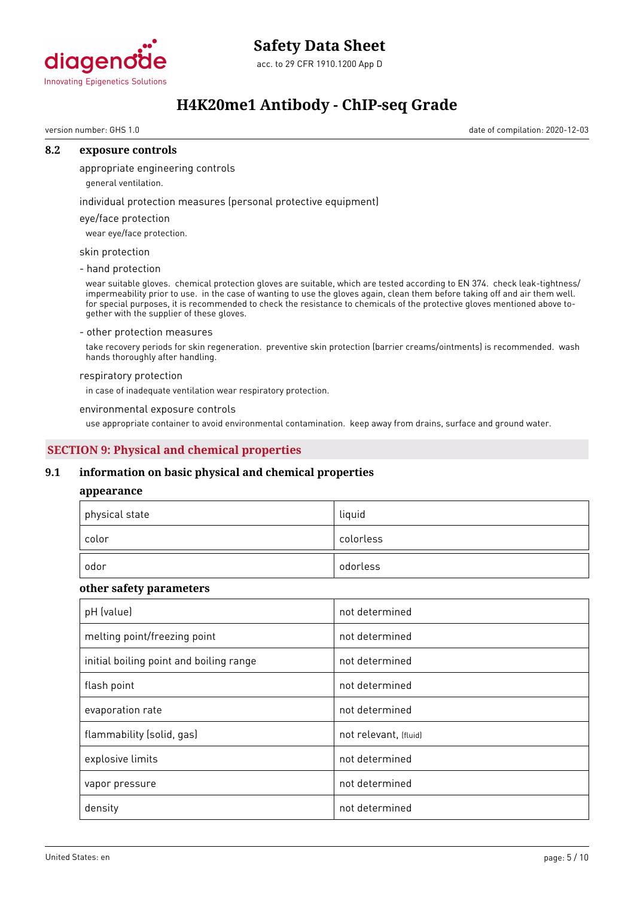

# **Safety Data Sheet**

acc. to 29 CFR 1910.1200 App D

# **H4K20me1 Antibody - ChIP-seq Grade**

version number: GHS 1.0 date of compilation: 2020-12-03

# **8.2 exposure controls**

appropriate engineering controls

general ventilation.

individual protection measures (personal protective equipment)

# eye/face protection

wear eye/face protection.

# skin protection

- hand protection

wear suitable gloves. chemical protection gloves are suitable, which are tested according to EN 374. check leak-tightness/ impermeability prior to use. in the case of wanting to use the gloves again, clean them before taking off and air them well. for special purposes, it is recommended to check the resistance to chemicals of the protective gloves mentioned above together with the supplier of these gloves.

#### - other protection measures

take recovery periods for skin regeneration. preventive skin protection (barrier creams/ointments) is recommended. wash hands thoroughly after handling.

#### respiratory protection

in case of inadequate ventilation wear respiratory protection.

#### environmental exposure controls

use appropriate container to avoid environmental contamination. keep away from drains, surface and ground water.

# **SECTION 9: Physical and chemical properties**

# **9.1 information on basic physical and chemical properties**

#### **appearance**

| physical state | liquid    |
|----------------|-----------|
| color          | colorless |
| odor           | odorless  |

# **other safety parameters**

| pH (value)                              | not determined        |
|-----------------------------------------|-----------------------|
| melting point/freezing point            | not determined        |
| initial boiling point and boiling range | not determined        |
| flash point                             | not determined        |
| evaporation rate                        | not determined        |
| flammability (solid, gas)               | not relevant, (fluid) |
| explosive limits                        | not determined        |
| vapor pressure                          | not determined        |
| density                                 | not determined        |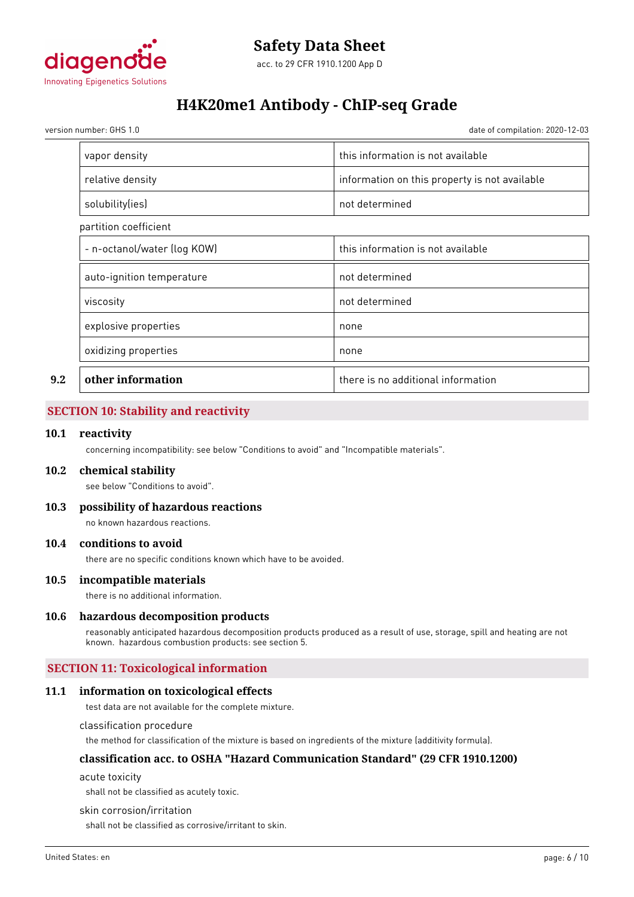

version number: GHS 1.0 date of compilation: 2020-12-03

|     | vapor density               | this information is not available             |
|-----|-----------------------------|-----------------------------------------------|
|     | relative density            | information on this property is not available |
|     | solubility(ies)             | not determined                                |
|     | partition coefficient       |                                               |
|     | - n-octanol/water (log KOW) | this information is not available             |
|     | auto-ignition temperature   | not determined                                |
|     | viscosity                   | not determined                                |
|     | explosive properties        | none                                          |
|     | oxidizing properties        | none                                          |
| 9.2 | other information           | there is no additional information            |

# **SECTION 10: Stability and reactivity**

#### **10.1 reactivity**

concerning incompatibility: see below "Conditions to avoid" and "Incompatible materials".

#### **10.2 chemical stability**

see below "Conditions to avoid".

**10.3 possibility of hazardous reactions**

no known hazardous reactions.

# **10.4 conditions to avoid**

there are no specific conditions known which have to be avoided.

#### **10.5 incompatible materials**

there is no additional information.

#### **10.6 hazardous decomposition products**

reasonably anticipated hazardous decomposition products produced as a result of use, storage, spill and heating are not known. hazardous combustion products: see section 5.

# **SECTION 11: Toxicological information**

#### **11.1 information on toxicological effects**

test data are not available for the complete mixture.

classification procedure

the method for classification of the mixture is based on ingredients of the mixture (additivity formula).

#### **classification acc. to OSHA "Hazard Communication Standard" (29 CFR 1910.1200)**

acute toxicity

shall not be classified as acutely toxic.

skin corrosion/irritation

shall not be classified as corrosive/irritant to skin.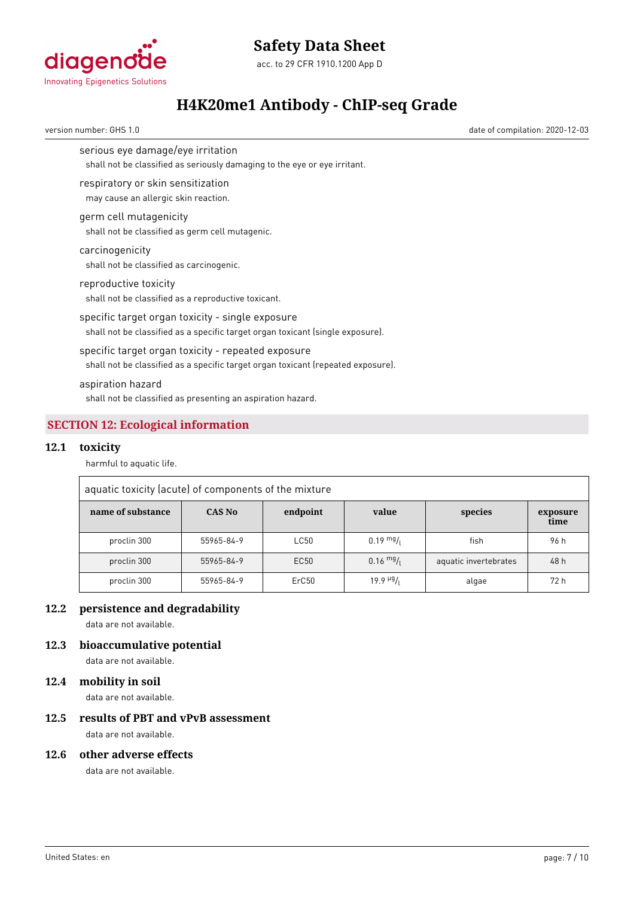

acc. to 29 CFR 1910.1200 App D



# **H4K20me1 Antibody - ChIP-seq Grade**

version number: GHS 1.0 date of compilation: 2020-12-03

serious eye damage/eye irritation

shall not be classified as seriously damaging to the eye or eye irritant.

respiratory or skin sensitization

may cause an allergic skin reaction.

# germ cell mutagenicity

shall not be classified as germ cell mutagenic.

# carcinogenicity

shall not be classified as carcinogenic.

reproductive toxicity

shall not be classified as a reproductive toxicant.

specific target organ toxicity - single exposure shall not be classified as a specific target organ toxicant (single exposure).

# specific target organ toxicity - repeated exposure

shall not be classified as a specific target organ toxicant (repeated exposure).

#### aspiration hazard

shall not be classified as presenting an aspiration hazard.

# **SECTION 12: Ecological information**

#### **12.1 toxicity**

harmful to aquatic life.

| aquatic toxicity (acute) of components of the mixture |            |          |                       |                       |                  |
|-------------------------------------------------------|------------|----------|-----------------------|-----------------------|------------------|
| name of substance                                     | CAS No     | endpoint | value                 | species               | exposure<br>time |
| proclin 300                                           | 55965-84-9 | LC50     | $0.19 \frac{mg}{L}$   | fish                  | 96 h             |
| proclin 300                                           | 55965-84-9 | EC50     | $0.16 \frac{mg}{l}$   | aquatic invertebrates | 48 h             |
| proclin 300                                           | 55965-84-9 | ErC50    | $19.9$ $\frac{19}{1}$ | algae                 | 72 h             |

# **12.2 persistence and degradability**

data are not available.

# **12.3 bioaccumulative potential**

data are not available.

# **12.4 mobility in soil**

data are not available.

# **12.5 results of PBT and vPvB assessment**

data are not available.

### **12.6 other adverse effects**

data are not available.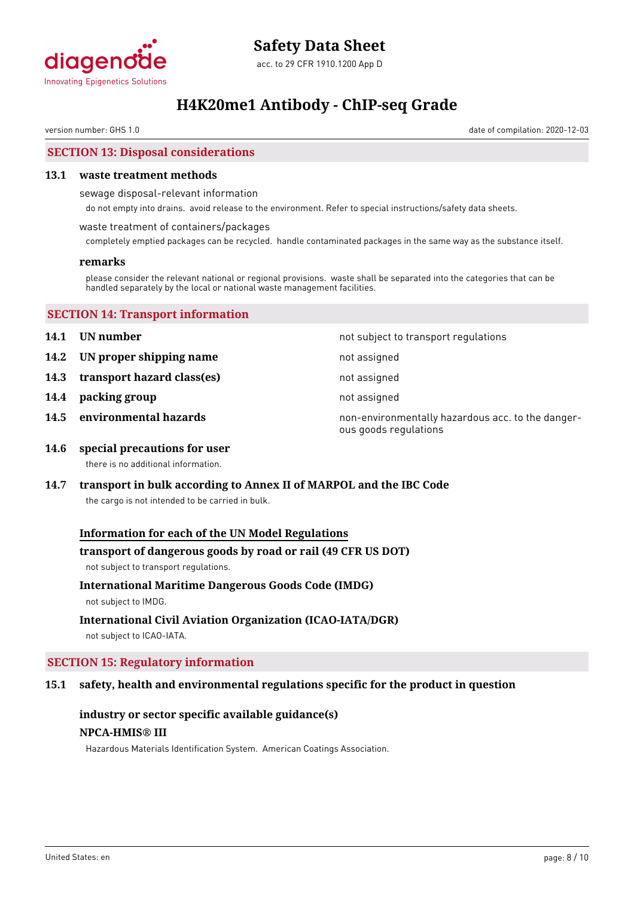

version number: GHS 1.0 date of compilation: 2020-12-03

# **SECTION 13: Disposal considerations**

# **13.1 waste treatment methods**

sewage disposal-relevant information

do not empty into drains. avoid release to the environment. Refer to special instructions/safety data sheets.

waste treatment of containers/packages

completely emptied packages can be recycled. handle contaminated packages in the same way as the substance itself.

# **remarks**

please consider the relevant national or regional provisions. waste shall be separated into the categories that can be handled separately by the local or national waste management facilities.

|  | <b>SECTION 14: Transport information</b> |
|--|------------------------------------------|
|--|------------------------------------------|

- 
- **14.2 UN proper shipping name** not assigned
- **14.3 transport hazard class(es)** not assigned
- **14.4 packing group** not assigned
- 

**14.1 UN number 14.1 UN** number

- 
- 
- 

**14.5 environmental hazards non-environmentally hazardous acc. to the danger**ous goods regulations

- **14.6 special precautions for user** there is no additional information.
- **14.7 transport in bulk according to Annex II of MARPOL and the IBC Code**

the cargo is not intended to be carried in bulk.

# **Information for each of the UN Model Regulations**

# **transport of dangerous goods by road or rail (49 CFR US DOT)**

not subject to transport regulations.

# **International Maritime Dangerous Goods Code (IMDG)**

not subject to IMDG.

# **International Civil Aviation Organization (ICAO-IATA/DGR)**

not subject to ICAO-IATA.

# **SECTION 15: Regulatory information**

# **15.1 safety, health and environmental regulations specific for the product in question**

# **industry or sector specific available guidance(s) NPCA-HMIS® III**

Hazardous Materials Identification System. American Coatings Association.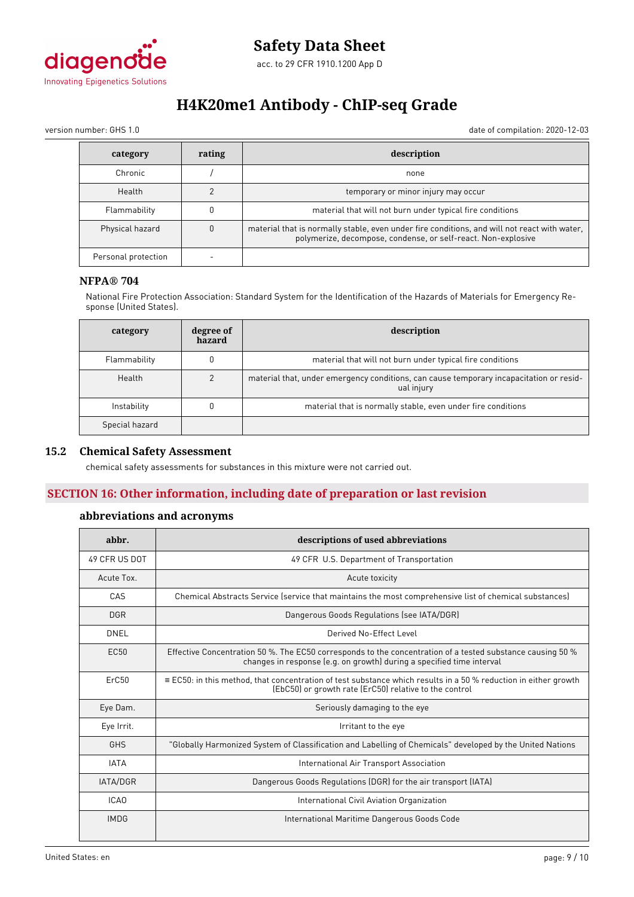

version number: GHS 1.0 date of compilation: 2020-12-03

| category            | rating | description                                                                                                                                                   |
|---------------------|--------|---------------------------------------------------------------------------------------------------------------------------------------------------------------|
| Chronic             |        | none                                                                                                                                                          |
| Health              |        | temporary or minor injury may occur                                                                                                                           |
| Flammability        |        | material that will not burn under typical fire conditions                                                                                                     |
| Physical hazard     |        | material that is normally stable, even under fire conditions, and will not react with water,<br>polymerize, decompose, condense, or self-react. Non-explosive |
| Personal protection |        |                                                                                                                                                               |

#### **NFPA® 704**

National Fire Protection Association: Standard System for the Identification of the Hazards of Materials for Emergency Response (United States).

| category       | degree of<br>hazard | description                                                                                           |
|----------------|---------------------|-------------------------------------------------------------------------------------------------------|
| Flammability   | 0                   | material that will not burn under typical fire conditions                                             |
| Health         |                     | material that, under emergency conditions, can cause temporary incapacitation or resid-<br>ual injury |
| Instability    |                     | material that is normally stable, even under fire conditions                                          |
| Special hazard |                     |                                                                                                       |

# **15.2 Chemical Safety Assessment**

chemical safety assessments for substances in this mixture were not carried out.

# **SECTION 16: Other information, including date of preparation or last revision**

### **abbreviations and acronyms**

| abbr.            | descriptions of used abbreviations                                                                                                                                                  |
|------------------|-------------------------------------------------------------------------------------------------------------------------------------------------------------------------------------|
| 49 CFR US DOT    | 49 CFR U.S. Department of Transportation                                                                                                                                            |
| Acute Tox.       | Acute toxicity                                                                                                                                                                      |
| CAS              | Chemical Abstracts Service (service that maintains the most comprehensive list of chemical substances)                                                                              |
| <b>DGR</b>       | Dangerous Goods Regulations (see IATA/DGR)                                                                                                                                          |
| DNEL             | Derived No-Effect Level                                                                                                                                                             |
| EC <sub>50</sub> | Effective Concentration 50 %. The EC50 corresponds to the concentration of a tested substance causing 50 %<br>changes in response (e.g. on growth) during a specified time interval |
| ErC50            | $\equiv$ EC50: in this method, that concentration of test substance which results in a 50 % reduction in either growth<br>(EbC50) or growth rate (ErC50) relative to the control    |
| Eye Dam.         | Seriously damaging to the eye                                                                                                                                                       |
| Eye Irrit.       | Irritant to the eye                                                                                                                                                                 |
| <b>GHS</b>       | "Globally Harmonized System of Classification and Labelling of Chemicals" developed by the United Nations                                                                           |
| <b>IATA</b>      | International Air Transport Association                                                                                                                                             |
| IATA/DGR         | Dangerous Goods Regulations (DGR) for the air transport (IATA)                                                                                                                      |
| ICA <sub>0</sub> | International Civil Aviation Organization                                                                                                                                           |
| <b>IMDG</b>      | International Maritime Dangerous Goods Code                                                                                                                                         |